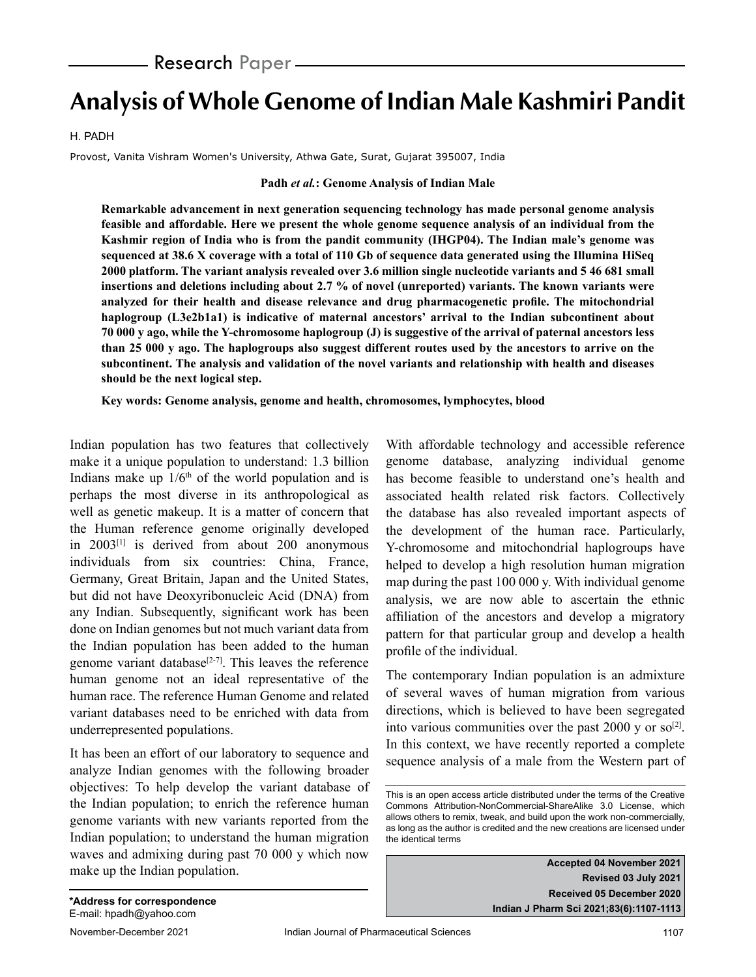# **Analysis of Whole Genome of Indian Male Kashmiri Pandit**

#### H. PADH

Provost, Vanita Vishram Women's University, Athwa Gate, Surat, Gujarat 395007, India

#### **Padh** *et al.***: Genome Analysis of Indian Male**

**Remarkable advancement in next generation sequencing technology has made personal genome analysis feasible and affordable. Here we present the whole genome sequence analysis of an individual from the Kashmir region of India who is from the pandit community (IHGP04). The Indian male's genome was sequenced at 38.6 X coverage with a total of 110 Gb of sequence data generated using the Illumina HiSeq 2000 platform. The variant analysis revealed over 3.6 million single nucleotide variants and 5 46 681 small insertions and deletions including about 2.7 % of novel (unreported) variants. The known variants were analyzed for their health and disease relevance and drug pharmacogenetic profile. The mitochondrial haplogroup (L3e2b1a1) is indicative of maternal ancestors' arrival to the Indian subcontinent about 70 000 y ago, while the Y-chromosome haplogroup (J) is suggestive of the arrival of paternal ancestors less than 25 000 y ago. The haplogroups also suggest different routes used by the ancestors to arrive on the subcontinent. The analysis and validation of the novel variants and relationship with health and diseases should be the next logical step.**

**Key words: Genome analysis, genome and health, chromosomes, lymphocytes, blood**

Indian population has two features that collectively make it a unique population to understand: 1.3 billion Indians make up  $1/6<sup>th</sup>$  of the world population and is perhaps the most diverse in its anthropological as well as genetic makeup. It is a matter of concern that the Human reference genome originally developed in 2003[1] is derived from about 200 anonymous individuals from six countries: China, France, Germany, Great Britain, Japan and the United States, but did not have Deoxyribonucleic Acid (DNA) from any Indian. Subsequently, significant work has been done on Indian genomes but not much variant data from the Indian population has been added to the human genome variant database<sup>[2-7]</sup>. This leaves the reference human genome not an ideal representative of the human race. The reference Human Genome and related variant databases need to be enriched with data from underrepresented populations.

It has been an effort of our laboratory to sequence and analyze Indian genomes with the following broader objectives: To help develop the variant database of the Indian population; to enrich the reference human genome variants with new variants reported from the Indian population; to understand the human migration waves and admixing during past 70 000 y which now make up the Indian population.

With affordable technology and accessible reference genome database, analyzing individual genome has become feasible to understand one's health and associated health related risk factors. Collectively the database has also revealed important aspects of the development of the human race. Particularly, Y-chromosome and mitochondrial haplogroups have helped to develop a high resolution human migration map during the past 100 000 y. With individual genome analysis, we are now able to ascertain the ethnic affiliation of the ancestors and develop a migratory pattern for that particular group and develop a health profile of the individual.

The contemporary Indian population is an admixture of several waves of human migration from various directions, which is believed to have been segregated into various communities over the past 2000 y or so<sup>[2]</sup>. In this context, we have recently reported a complete sequence analysis of a male from the Western part of

**Accepted 04 November 2021 Revised 03 July 2021 Received 05 December 2020 Indian J Pharm Sci 2021;83(6):1107-1113**

This is an open access article distributed under the terms of the Creative Commons Attribution-NonCommercial-ShareAlike 3.0 License, which allows others to remix, tweak, and build upon the work non-commercially, as long as the author is credited and the new creations are licensed under the identical terms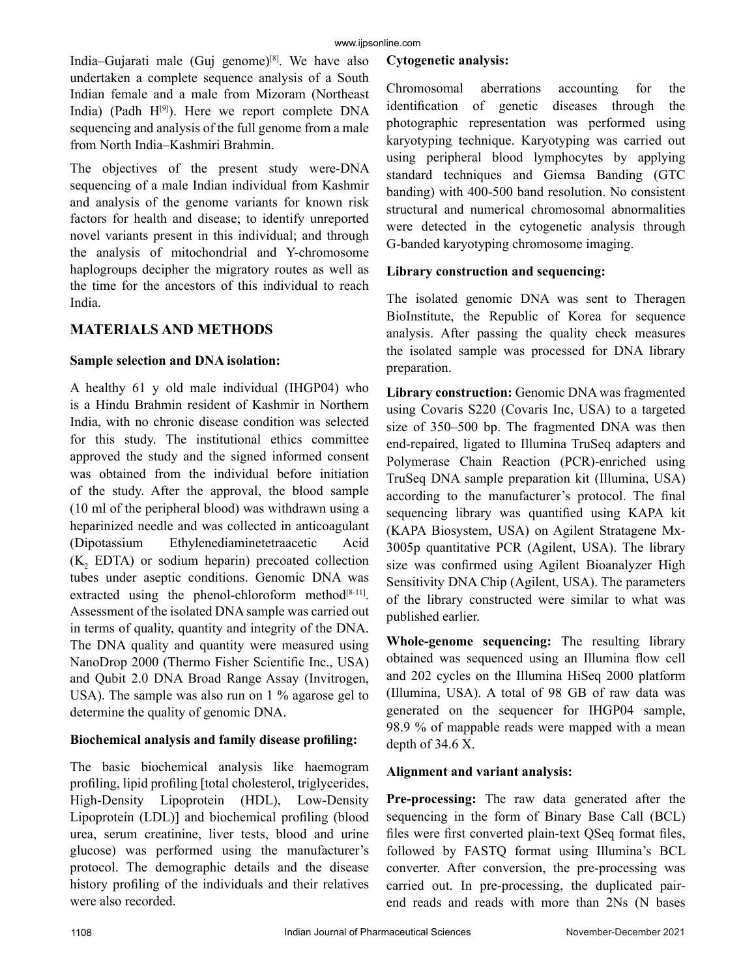India–Gujarati male (Guj genome) $[8]$ . We have also undertaken a complete sequence analysis of a South Indian female and a male from Mizoram (Northeast India) (Padh  $H^{[9]}$ ). Here we report complete DNA sequencing and analysis of the full genome from a male from North India–Kashmiri Brahmin.

The objectives of the present study were-DNA sequencing of a male Indian individual from Kashmir and analysis of the genome variants for known risk factors for health and disease; to identify unreported novel variants present in this individual; and through the analysis of mitochondrial and Y-chromosome haplogroups decipher the migratory routes as well as the time for the ancestors of this individual to reach India.

# **MATERIALS AND METHODS**

## **Sample selection and DNA isolation:**

A healthy 61 y old male individual (IHGP04) who is a Hindu Brahmin resident of Kashmir in Northern India, with no chronic disease condition was selected for this study. The institutional ethics committee approved the study and the signed informed consent was obtained from the individual before initiation of the study. After the approval, the blood sample (10 ml of the peripheral blood) was withdrawn using a heparinized needle and was collected in anticoagulant (Dipotassium Ethylenediaminetetraacetic Acid  $(K_2$  EDTA) or sodium heparin) precoated collection tubes under aseptic conditions. Genomic DNA was extracted using the phenol-chloroform method $[8-11]$ . Assessment of the isolated DNA sample was carried out in terms of quality, quantity and integrity of the DNA. The DNA quality and quantity were measured using NanoDrop 2000 (Thermo Fisher Scientific Inc., USA) and Qubit 2.0 DNA Broad Range Assay (Invitrogen, USA). The sample was also run on 1 % agarose gel to determine the quality of genomic DNA.

## **Biochemical analysis and family disease profiling:**

The basic biochemical analysis like haemogram profiling, lipid profiling [total cholesterol, triglycerides, High-Density Lipoprotein (HDL), Low-Density Lipoprotein (LDL)] and biochemical profiling (blood urea, serum creatinine, liver tests, blood and urine glucose) was performed using the manufacturer's protocol. The demographic details and the disease history profiling of the individuals and their relatives were also recorded.

## **Cytogenetic analysis:**

Chromosomal aberrations accounting for the identification of genetic diseases through the photographic representation was performed using karyotyping technique. Karyotyping was carried out using peripheral blood lymphocytes by applying standard techniques and Giemsa Banding (GTC banding) with 400-500 band resolution. No consistent structural and numerical chromosomal abnormalities were detected in the cytogenetic analysis through G-banded karyotyping chromosome imaging.

## **Library construction and sequencing:**

The isolated genomic DNA was sent to Theragen BioInstitute, the Republic of Korea for sequence analysis. After passing the quality check measures the isolated sample was processed for DNA library preparation.

Library construction: Genomic DNA was fragmented using Covaris S220 (Covaris Inc, USA) to a targeted size of 350–500 bp. The fragmented DNA was then end-repaired, ligated to Illumina TruSeq adapters and Polymerase Chain Reaction (PCR)-enriched using TruSeq DNA sample preparation kit (Illumina, USA) according to the manufacturer's protocol. The final sequencing library was quantified using KAPA kit (KAPA Biosystem, USA) on Agilent Stratagene Mx-3005p quantitative PCR (Agilent, USA). The library size was confirmed using Agilent Bioanalyzer High Sensitivity DNA Chip (Agilent, USA). The parameters of the library constructed were similar to what was published earlier.

**Whole-genome sequencing:** The resulting library obtained was sequenced using an Illumina flow cell and 202 cycles on the Illumina HiSeq 2000 platform (Illumina, USA). A total of 98 GB of raw data was generated on the sequencer for IHGP04 sample, 98.9 % of mappable reads were mapped with a mean depth of 34.6 X.

## **Alignment and variant analysis:**

**Pre-processing:** The raw data generated after the sequencing in the form of Binary Base Call (BCL) files were first converted plain-text QSeq format files, followed by FASTQ format using Illumina's BCL converter. After conversion, the pre-processing was carried out. In pre-processing, the duplicated pairend reads and reads with more than 2Ns (N bases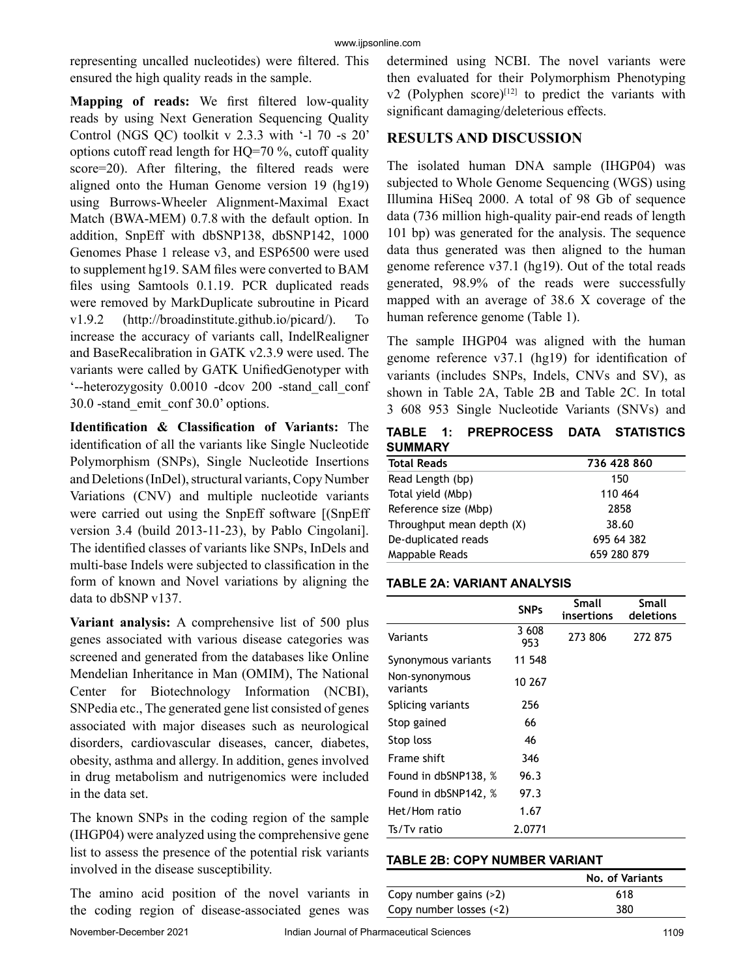representing uncalled nucleotides) were filtered. This ensured the high quality reads in the sample.

**Mapping of reads:** We first filtered low-quality reads by using Next Generation Sequencing Quality Control (NGS QC) toolkit v 2.3.3 with '-l 70 -s 20' options cutoff read length for HQ=70 %, cutoff quality score=20). After filtering, the filtered reads were aligned onto the Human Genome version 19 (hg19) using Burrows-Wheeler Alignment-Maximal Exact Match (BWA-MEM) 0.7.8 with the default option. In addition, SnpEff with dbSNP138, dbSNP142, 1000 Genomes Phase 1 release v3, and ESP6500 were used to supplement hg19. SAM files were converted to BAM files using Samtools 0.1.19. PCR duplicated reads were removed by MarkDuplicate subroutine in Picard v1.9.2 (http://broadinstitute.github.io/picard/). To increase the accuracy of variants call, IndelRealigner and BaseRecalibration in GATK v2.3.9 were used. The variants were called by GATK UnifiedGenotyper with '--heterozygosity 0.0010 -dcov 200 -stand\_call\_conf 30.0 -stand\_emit\_conf 30.0' options.

**Identification & Classification of Variants:** The identification of all the variants like Single Nucleotide Polymorphism (SNPs), Single Nucleotide Insertions and Deletions (InDel), structural variants, Copy Number Variations (CNV) and multiple nucleotide variants were carried out using the SnpEff software [(SnpEff version 3.4 (build 2013-11-23), by Pablo Cingolani]. The identified classes of variants like SNPs, InDels and multi-base Indels were subjected to classification in the form of known and Novel variations by aligning the data to dbSNP v137.

**Variant analysis:** A comprehensive list of 500 plus genes associated with various disease categories was screened and generated from the databases like Online Mendelian Inheritance in Man (OMIM), The National Center for Biotechnology Information (NCBI), SNPedia etc., The generated gene list consisted of genes associated with major diseases such as neurological disorders, cardiovascular diseases, cancer, diabetes, obesity, asthma and allergy. In addition, genes involved in drug metabolism and nutrigenomics were included in the data set.

The known SNPs in the coding region of the sample (IHGP04) were analyzed using the comprehensive gene list to assess the presence of the potential risk variants involved in the disease susceptibility.

The amino acid position of the novel variants in the coding region of disease-associated genes was determined using NCBI. The novel variants were then evaluated for their Polymorphism Phenotyping  $v2$  (Polyphen score)<sup>[12]</sup> to predict the variants with significant damaging/deleterious effects.

## **RESULTS AND DISCUSSION**

The isolated human DNA sample (IHGP04) was subjected to Whole Genome Sequencing (WGS) using Illumina HiSeq 2000. A total of 98 Gb of sequence data (736 million high-quality pair-end reads of length 101 bp) was generated for the analysis. The sequence data thus generated was then aligned to the human genome reference v37.1 (hg19). Out of the total reads generated, 98.9% of the reads were successfully mapped with an average of 38.6 X coverage of the human reference genome (Table 1).

The sample IHGP04 was aligned with the human genome reference v37.1 (hg19) for identification of variants (includes SNPs, Indels, CNVs and SV), as shown in Table 2A, Table 2B and Table 2C. In total 3 608 953 Single Nucleotide Variants (SNVs) and

**TABLE 1: PREPROCESS DATA STATISTICS SUMMARY**

| <b>Total Reads</b>        | 736 428 860 |
|---------------------------|-------------|
| Read Length (bp)          | 150         |
| Total yield (Mbp)         | 110 464     |
| Reference size (Mbp)      | 2858        |
| Throughput mean depth (X) | 38.60       |
| De-duplicated reads       | 695 64 382  |
| Mappable Reads            | 659 280 879 |

### **TABLE 2A: VARIANT ANALYSIS**

|                            | <b>SNPs</b>  | Small<br>insertions | Small<br>deletions |
|----------------------------|--------------|---------------------|--------------------|
| Variants                   | 3 608<br>953 | 273 806             | 272 875            |
| Synonymous variants        | 11 548       |                     |                    |
| Non-synonymous<br>variants | 10 267       |                     |                    |
| Splicing variants          | 256          |                     |                    |
| Stop gained                | 66           |                     |                    |
| Stop loss                  | 46           |                     |                    |
| Frame shift                | 346          |                     |                    |
| Found in dbSNP138, %       | 96.3         |                     |                    |
| Found in dbSNP142, %       | 97.3         |                     |                    |
| Het/Hom ratio              | 1.67         |                     |                    |
| Ts/Tv ratio                | 2.0771       |                     |                    |

#### **TABLE 2B: COPY NUMBER VARIANT**

|                          | No. of Variants |
|--------------------------|-----------------|
| Copy number gains (>2)   | 618             |
| Copy number losses $(2)$ | 380             |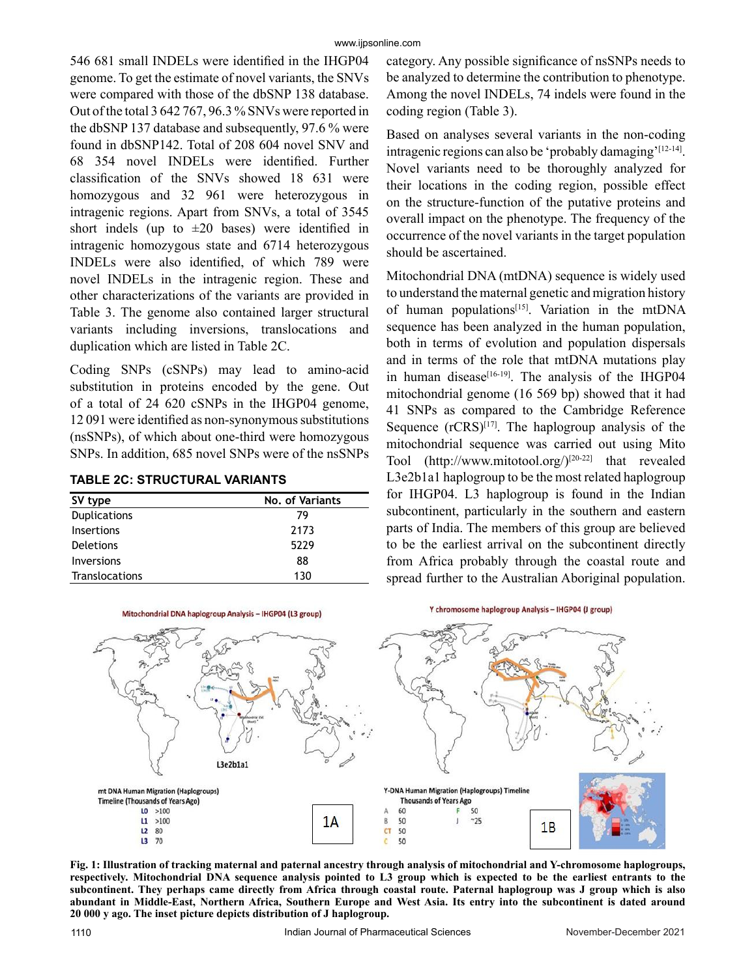546 681 small INDELs were identified in the IHGP04 genome. To get the estimate of novel variants, the SNVs were compared with those of the dbSNP 138 database. Out of the total 3 642 767, 96.3 % SNVs were reported in the dbSNP 137 database and subsequently, 97.6 % were found in dbSNP142. Total of 208 604 novel SNV and 68 354 novel INDELs were identified. Further classification of the SNVs showed 18 631 were homozygous and 32 961 were heterozygous in intragenic regions. Apart from SNVs, a total of 3545 short indels (up to  $\pm 20$  bases) were identified in intragenic homozygous state and 6714 heterozygous INDELs were also identified, of which 789 were novel INDELs in the intragenic region. These and other characterizations of the variants are provided in Table 3. The genome also contained larger structural variants including inversions, translocations and duplication which are listed in Table 2C.

Coding SNPs (cSNPs) may lead to amino-acid substitution in proteins encoded by the gene. Out of a total of 24 620 cSNPs in the IHGP04 genome, 12 091 were identified as non-synonymous substitutions (nsSNPs), of which about one-third were homozygous SNPs. In addition, 685 novel SNPs were of the nsSNPs

|  | <b>TABLE 2C: STRUCTURAL VARIANTS</b> |  |
|--|--------------------------------------|--|
|--|--------------------------------------|--|

| SV type             | No. of Variants |  |  |
|---------------------|-----------------|--|--|
| <b>Duplications</b> | 79              |  |  |
| Insertions          | 2173            |  |  |
| Deletions           | 5229            |  |  |
| <b>Inversions</b>   | 88              |  |  |
| Translocations      | 130             |  |  |

category. Any possible significance of nsSNPs needs to be analyzed to determine the contribution to phenotype. Among the novel INDELs, 74 indels were found in the coding region (Table 3).

Based on analyses several variants in the non-coding intragenic regions can also be 'probably damaging'[12-14]. Novel variants need to be thoroughly analyzed for their locations in the coding region, possible effect on the structure-function of the putative proteins and overall impact on the phenotype. The frequency of the occurrence of the novel variants in the target population should be ascertained.

Mitochondrial DNA (mtDNA) sequence is widely used to understand the maternal genetic and migration history of human populations<sup>[15]</sup>. Variation in the mtDNA sequence has been analyzed in the human population, both in terms of evolution and population dispersals and in terms of the role that mtDNA mutations play in human disease<sup>[16-19]</sup>. The analysis of the IHGP04 mitochondrial genome (16 569 bp) showed that it had 41 SNPs as compared to the Cambridge Reference Sequence  $(rCRS)^{[17]}$ . The haplogroup analysis of the mitochondrial sequence was carried out using Mito Tool (http://www.mitotool.org/)[20-22] that revealed L3e2b1a1 haplogroup to be the most related haplogroup for IHGP04. L3 haplogroup is found in the Indian subcontinent, particularly in the southern and eastern parts of India. The members of this group are believed to be the earliest arrival on the subcontinent directly from Africa probably through the coastal route and spread further to the Australian Aboriginal population.



**Fig. 1: Illustration of tracking maternal and paternal ancestry through analysis of mitochondrial and Y-chromosome haplogroups, respectively. Mitochondrial DNA sequence analysis pointed to L3 group which is expected to be the earliest entrants to the subcontinent. They perhaps came directly from Africa through coastal route. Paternal haplogroup was J group which is also abundant in Middle-East, Northern Africa, Southern Europe and West Asia. Its entry into the subcontinent is dated around 20 000 y ago. The inset picture depicts distribution of J haplogroup.**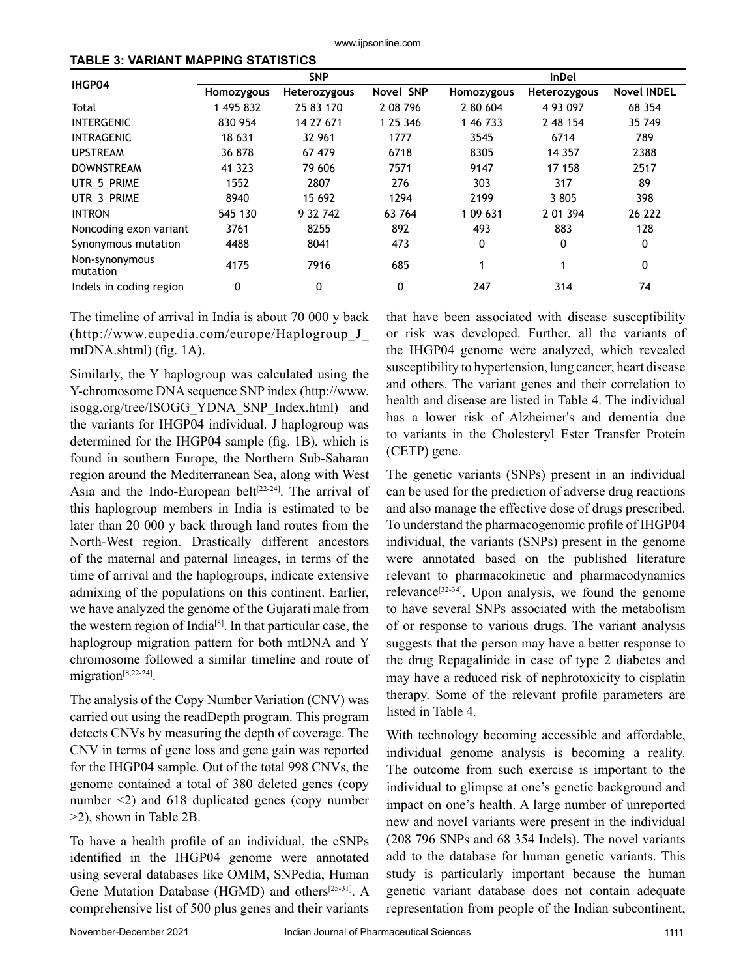www.ijpsonline.com

| TABLE 3: VARIANT MAPPING STATISTICS |
|-------------------------------------|
|-------------------------------------|

|                            | <b>SNP</b> |              |           | <b>InDel</b> |              |                    |
|----------------------------|------------|--------------|-----------|--------------|--------------|--------------------|
| IHGP04                     | Homozygous | Heterozygous | Novel SNP | Homozygous   | Heterozygous | <b>Novel INDEL</b> |
| Total                      | 1 495 832  | 25 83 170    | 2 08 7 96 | 2 80 604     | 4 93 0 97    | 68 354             |
| <b>INTERGENIC</b>          | 830 954    | 14 27 671    | 1 25 346  | 1 46 7 33    | 2 48 154     | 35 749             |
| <b>INTRAGENIC</b>          | 18 631     | 32 961       | 1777      | 3545         | 6714         | 789                |
| <b>UPSTREAM</b>            | 36 878     | 67 479       | 6718      | 8305         | 14 3 5 7     | 2388               |
| <b>DOWNSTREAM</b>          | 41 323     | 79 606       | 7571      | 9147         | 17 158       | 2517               |
| UTR 5 PRIME                | 1552       | 2807         | 276       | 303          | 317          | 89                 |
| UTR 3 PRIME                | 8940       | 15 692       | 1294      | 2199         | 3 8 0 5      | 398                |
| <b>INTRON</b>              | 545 130    | 9 32 742     | 63 764    | 1 09 631     | 2 01 3 94    | 26 222             |
| Noncoding exon variant     | 3761       | 8255         | 892       | 493          | 883          | 128                |
| Synonymous mutation        | 4488       | 8041         | 473       | 0            | 0            | 0                  |
| Non-synonymous<br>mutation | 4175       | 7916         | 685       |              |              | 0                  |
| Indels in coding region    | 0          | 0            | 0         | 247          | 314          | 74                 |

The timeline of arrival in India is about 70 000 y back (http://www.eupedia.com/europe/Haplogroup\_J\_ mtDNA.shtml) (fig. 1A).

Similarly, the Y haplogroup was calculated using the Y-chromosome DNA sequence SNP index (http://www. isogg.org/tree/ISOGG\_YDNA\_SNP\_Index.html) and the variants for IHGP04 individual. J haplogroup was determined for the IHGP04 sample (fig. 1B), which is found in southern Europe, the Northern Sub-Saharan region around the Mediterranean Sea, along with West Asia and the Indo-European belt<sup>[22-24]</sup>. The arrival of this haplogroup members in India is estimated to be later than 20 000 y back through land routes from the North-West region. Drastically different ancestors of the maternal and paternal lineages, in terms of the time of arrival and the haplogroups, indicate extensive admixing of the populations on this continent. Earlier, we have analyzed the genome of the Gujarati male from the western region of India[8]. In that particular case, the haplogroup migration pattern for both mtDNA and Y chromosome followed a similar timeline and route of migration<sup>[8,22-24]</sup>.

The analysis of the Copy Number Variation (CNV) was carried out using the readDepth program. This program detects CNVs by measuring the depth of coverage. The CNV in terms of gene loss and gene gain was reported for the IHGP04 sample. Out of the total 998 CNVs, the genome contained a total of 380 deleted genes (copy number <2) and 618 duplicated genes (copy number >2), shown in Table 2B.

To have a health profile of an individual, the cSNPs identified in the IHGP04 genome were annotated using several databases like OMIM, SNPedia, Human Gene Mutation Database (HGMD) and others[25-31]. A comprehensive list of 500 plus genes and their variants

that have been associated with disease susceptibility or risk was developed. Further, all the variants of the IHGP04 genome were analyzed, which revealed susceptibility to hypertension, lung cancer, heart disease and others. The variant genes and their correlation to health and disease are listed in Table 4. The individual has a lower risk of Alzheimer's and dementia due to variants in the Cholesteryl Ester Transfer Protein (CETP) gene.

The genetic variants (SNPs) present in an individual can be used for the prediction of adverse drug reactions and also manage the effective dose of drugs prescribed. To understand the pharmacogenomic profile of IHGP04 individual, the variants (SNPs) present in the genome were annotated based on the published literature relevant to pharmacokinetic and pharmacodynamics relevance<sup>[32-34]</sup>. Upon analysis, we found the genome to have several SNPs associated with the metabolism of or response to various drugs. The variant analysis suggests that the person may have a better response to the drug Repagalinide in case of type 2 diabetes and may have a reduced risk of nephrotoxicity to cisplatin therapy. Some of the relevant profile parameters are listed in Table 4.

With technology becoming accessible and affordable, individual genome analysis is becoming a reality. The outcome from such exercise is important to the individual to glimpse at one's genetic background and impact on one's health. A large number of unreported new and novel variants were present in the individual (208 796 SNPs and 68 354 Indels). The novel variants add to the database for human genetic variants. This study is particularly important because the human genetic variant database does not contain adequate representation from people of the Indian subcontinent,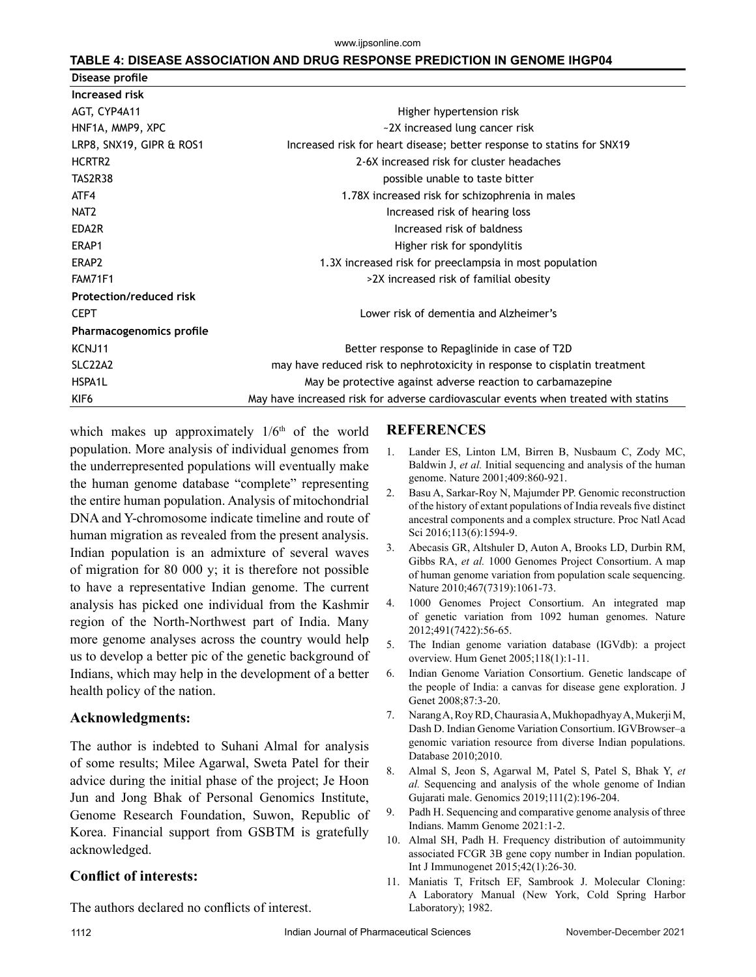#### **TABLE 4: DISEASE ASSOCIATION AND DRUG RESPONSE PREDICTION IN GENOME IHGP04**

| Disease profile                  |                                                                                     |
|----------------------------------|-------------------------------------------------------------------------------------|
| Increased risk                   |                                                                                     |
| AGT, CYP4A11                     | Higher hypertension risk                                                            |
| HNF1A, MMP9, XPC                 | ~2X increased lung cancer risk                                                      |
| LRP8, SNX19, GIPR & ROS1         | Increased risk for heart disease; better response to statins for SNX19              |
| HCRTR <sub>2</sub>               | 2-6X increased risk for cluster headaches                                           |
| TAS2R38                          | possible unable to taste bitter                                                     |
| ATF4                             | 1.78X increased risk for schizophrenia in males                                     |
| NAT <sub>2</sub>                 | Increased risk of hearing loss                                                      |
| EDA2R                            | Increased risk of baldness                                                          |
| ERAP1                            | Higher risk for spondylitis                                                         |
| ERAP2                            | 1.3X increased risk for preeclampsia in most population                             |
| FAM71F1                          | >2X increased risk of familial obesity                                              |
| <b>Protection/reduced risk</b>   |                                                                                     |
| <b>CEPT</b>                      | Lower risk of dementia and Alzheimer's                                              |
| Pharmacogenomics profile         |                                                                                     |
| KCNJ11                           | Better response to Repaglinide in case of T2D                                       |
| SLC <sub>22</sub> A <sub>2</sub> | may have reduced risk to nephrotoxicity in response to cisplatin treatment          |
| HSPA1L                           | May be protective against adverse reaction to carbamazepine                         |
| KIF <sub>6</sub>                 | May have increased risk for adverse cardiovascular events when treated with statins |

which makes up approximately  $1/6<sup>th</sup>$  of the world population. More analysis of individual genomes from the underrepresented populations will eventually make the human genome database "complete" representing the entire human population. Analysis of mitochondrial DNA and Y-chromosome indicate timeline and route of human migration as revealed from the present analysis. Indian population is an admixture of several waves of migration for 80 000 y; it is therefore not possible to have a representative Indian genome. The current analysis has picked one individual from the Kashmir region of the North-Northwest part of India. Many more genome analyses across the country would help us to develop a better pic of the genetic background of Indians, which may help in the development of a better health policy of the nation.

### **Acknowledgments:**

The author is indebted to Suhani Almal for analysis of some results; Milee Agarwal, Sweta Patel for their advice during the initial phase of the project; Je Hoon Jun and Jong Bhak of Personal Genomics Institute, Genome Research Foundation, Suwon, Republic of Korea. Financial support from GSBTM is gratefully acknowledged.

## **Conflict of interests:**

The authors declared no conflicts of interest.

### **REFERENCES**

- 1. Lander ES, Linton LM, Birren B, Nusbaum C, Zody MC, Baldwin J, *et al.* Initial sequencing and analysis of the human genome. Nature 2001;409:860-921.
- 2. Basu A, Sarkar-Roy N, Majumder PP. Genomic reconstruction of the history of extant populations of India reveals five distinct ancestral components and a complex structure. Proc Natl Acad Sci 2016;113(6):1594-9.
- 3. Abecasis GR, Altshuler D, Auton A, Brooks LD, Durbin RM, Gibbs RA, *et al.* 1000 Genomes Project Consortium. A map of human genome variation from population scale sequencing. Nature 2010;467(7319):1061-73.
- 4. 1000 Genomes Project Consortium. An integrated map of genetic variation from 1092 human genomes. Nature 2012;491(7422):56-65.
- 5. The Indian genome variation database (IGVdb): a project overview. Hum Genet 2005;118(1):1-11.
- 6. Indian Genome Variation Consortium. Genetic landscape of the people of India: a canvas for disease gene exploration. J Genet 2008;87:3-20.
- 7. Narang A, Roy RD, Chaurasia A, Mukhopadhyay A, Mukerji M, Dash D. Indian Genome Variation Consortium. IGVBrowser–a genomic variation resource from diverse Indian populations. Database 2010;2010.
- 8. Almal S, Jeon S, Agarwal M, Patel S, Patel S, Bhak Y, *et al.* Sequencing and analysis of the whole genome of Indian Gujarati male. Genomics 2019;111(2):196-204.
- 9. Padh H. Sequencing and comparative genome analysis of three Indians. Mamm Genome 2021:1-2.
- 10. Almal SH, Padh H. Frequency distribution of autoimmunity associated FCGR 3B gene copy number in Indian population. Int J Immunogenet 2015;42(1):26-30.
- 11. Maniatis T, Fritsch EF, Sambrook J. Molecular Cloning: A Laboratory Manual (New York, Cold Spring Harbor Laboratory); 1982.